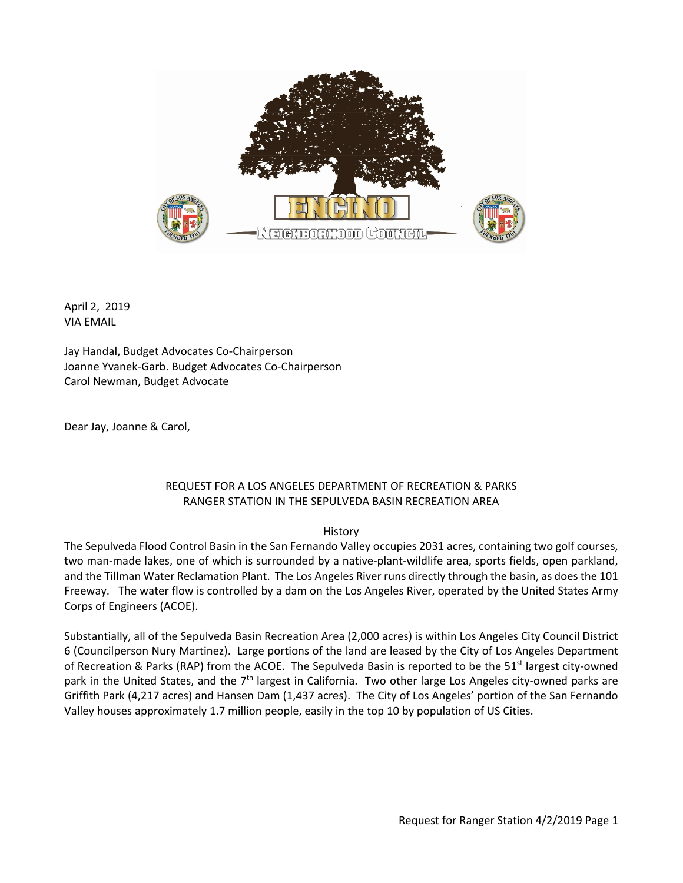

April 2, 2019 VIA EMAIL

Jay Handal, Budget Advocates Co‐Chairperson Joanne Yvanek‐Garb. Budget Advocates Co‐Chairperson Carol Newman, Budget Advocate

Dear Jay, Joanne & Carol,

## REQUEST FOR A LOS ANGELES DEPARTMENT OF RECREATION & PARKS RANGER STATION IN THE SEPULVEDA BASIN RECREATION AREA

## History

The Sepulveda Flood Control Basin in the San Fernando Valley occupies 2031 acres, containing two golf courses, two man‐made lakes, one of which is surrounded by a native‐plant‐wildlife area, sports fields, open parkland, and the Tillman Water Reclamation Plant. The Los Angeles River runs directly through the basin, as does the 101 Freeway. The water flow is controlled by a dam on the Los Angeles River, operated by the United States Army Corps of Engineers (ACOE).

Substantially, all of the Sepulveda Basin Recreation Area (2,000 acres) is within Los Angeles City Council District 6 (Councilperson Nury Martinez). Large portions of the land are leased by the City of Los Angeles Department of Recreation & Parks (RAP) from the ACOE. The Sepulveda Basin is reported to be the 51<sup>st</sup> largest city-owned park in the United States, and the  $7<sup>th</sup>$  largest in California. Two other large Los Angeles city-owned parks are Griffith Park (4,217 acres) and Hansen Dam (1,437 acres). The City of Los Angeles' portion of the San Fernando Valley houses approximately 1.7 million people, easily in the top 10 by population of US Cities.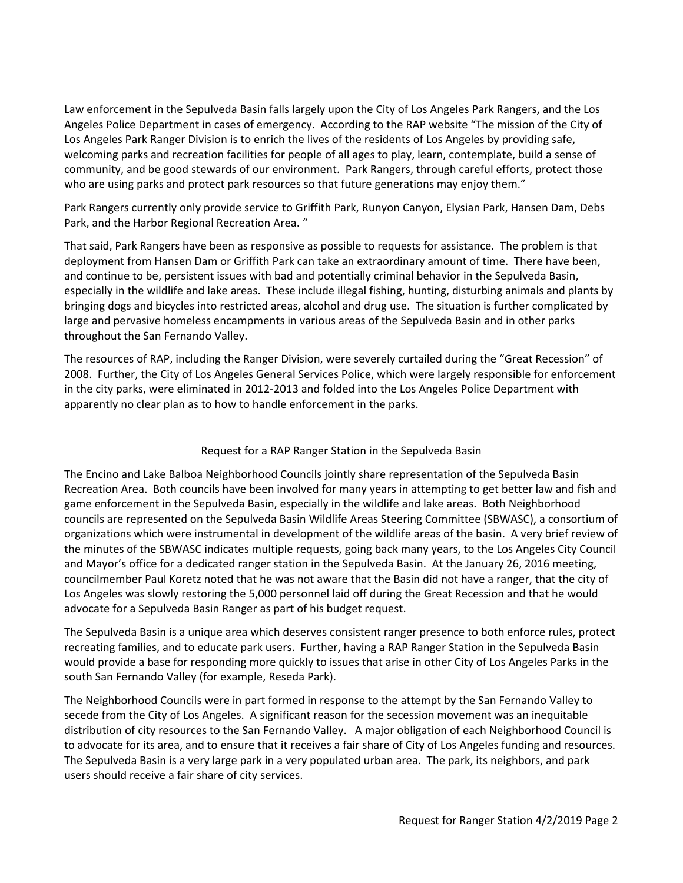Law enforcement in the Sepulveda Basin falls largely upon the City of Los Angeles Park Rangers, and the Los Angeles Police Department in cases of emergency. According to the RAP website "The mission of the City of Los Angeles Park Ranger Division is to enrich the lives of the residents of Los Angeles by providing safe, welcoming parks and recreation facilities for people of all ages to play, learn, contemplate, build a sense of community, and be good stewards of our environment. Park Rangers, through careful efforts, protect those who are using parks and protect park resources so that future generations may enjoy them."

Park Rangers currently only provide service to Griffith Park, Runyon Canyon, Elysian Park, Hansen Dam, Debs Park, and the Harbor Regional Recreation Area. "

That said, Park Rangers have been as responsive as possible to requests for assistance. The problem is that deployment from Hansen Dam or Griffith Park can take an extraordinary amount of time. There have been, and continue to be, persistent issues with bad and potentially criminal behavior in the Sepulveda Basin, especially in the wildlife and lake areas. These include illegal fishing, hunting, disturbing animals and plants by bringing dogs and bicycles into restricted areas, alcohol and drug use. The situation is further complicated by large and pervasive homeless encampments in various areas of the Sepulveda Basin and in other parks throughout the San Fernando Valley.

The resources of RAP, including the Ranger Division, were severely curtailed during the "Great Recession" of 2008. Further, the City of Los Angeles General Services Police, which were largely responsible for enforcement in the city parks, were eliminated in 2012‐2013 and folded into the Los Angeles Police Department with apparently no clear plan as to how to handle enforcement in the parks.

## Request for a RAP Ranger Station in the Sepulveda Basin

The Encino and Lake Balboa Neighborhood Councils jointly share representation of the Sepulveda Basin Recreation Area. Both councils have been involved for many years in attempting to get better law and fish and game enforcement in the Sepulveda Basin, especially in the wildlife and lake areas. Both Neighborhood councils are represented on the Sepulveda Basin Wildlife Areas Steering Committee (SBWASC), a consortium of organizations which were instrumental in development of the wildlife areas of the basin. A very brief review of the minutes of the SBWASC indicates multiple requests, going back many years, to the Los Angeles City Council and Mayor's office for a dedicated ranger station in the Sepulveda Basin. At the January 26, 2016 meeting, councilmember Paul Koretz noted that he was not aware that the Basin did not have a ranger, that the city of Los Angeles was slowly restoring the 5,000 personnel laid off during the Great Recession and that he would advocate for a Sepulveda Basin Ranger as part of his budget request.

The Sepulveda Basin is a unique area which deserves consistent ranger presence to both enforce rules, protect recreating families, and to educate park users. Further, having a RAP Ranger Station in the Sepulveda Basin would provide a base for responding more quickly to issues that arise in other City of Los Angeles Parks in the south San Fernando Valley (for example, Reseda Park).

The Neighborhood Councils were in part formed in response to the attempt by the San Fernando Valley to secede from the City of Los Angeles. A significant reason for the secession movement was an inequitable distribution of city resources to the San Fernando Valley. A major obligation of each Neighborhood Council is to advocate for its area, and to ensure that it receives a fair share of City of Los Angeles funding and resources. The Sepulveda Basin is a very large park in a very populated urban area. The park, its neighbors, and park users should receive a fair share of city services.